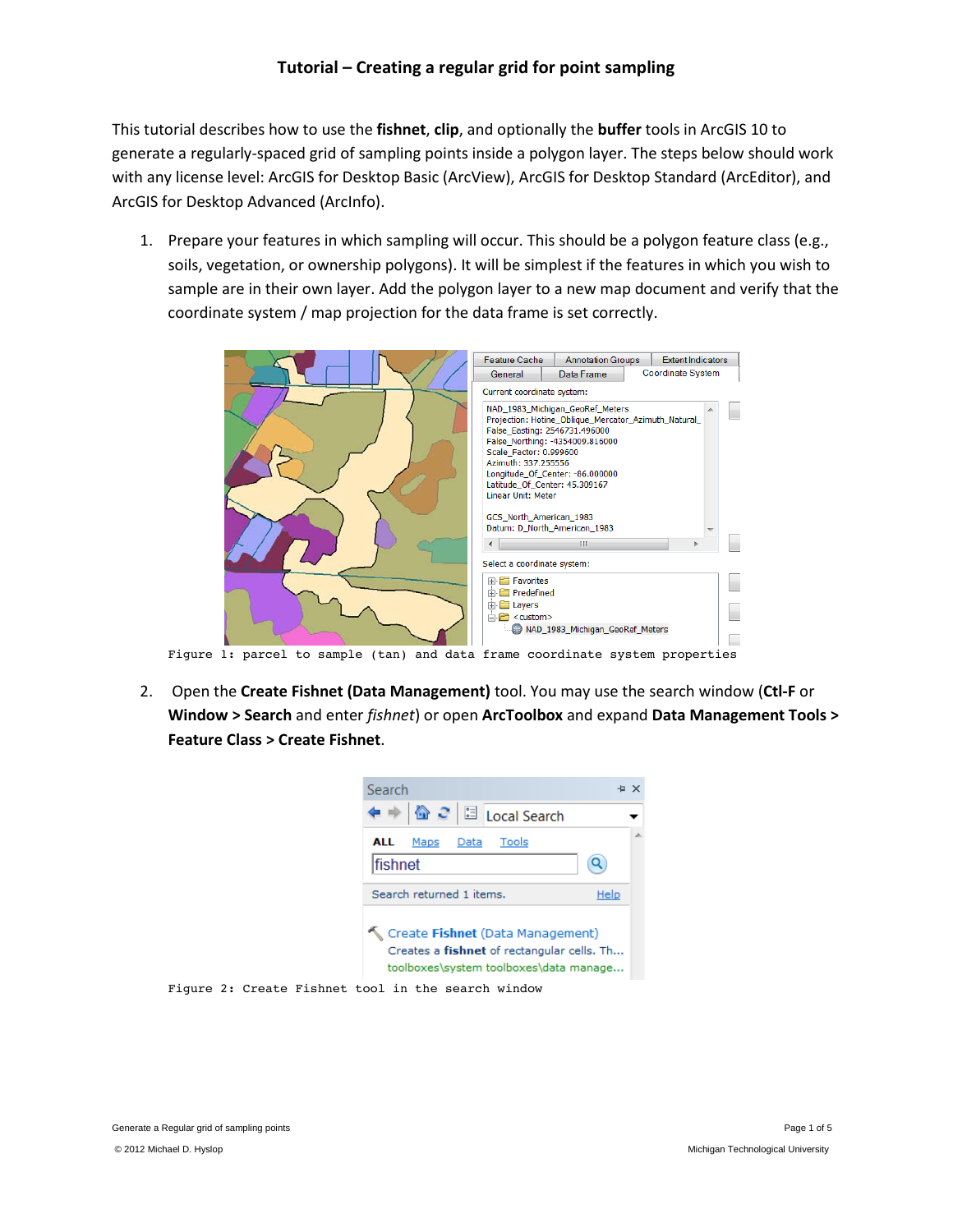This tutorial describes how to use the **fishnet**, **clip**, and optionally the **buffer** tools in ArcGIS 10 to generate a regularly-spaced grid of sampling points inside a polygon layer. The steps below should work with any license level: ArcGIS for Desktop Basic (ArcView), ArcGIS for Desktop Standard (ArcEditor), and ArcGIS for Desktop Advanced (ArcInfo).

1. Prepare your features in which sampling will occur. This should be a polygon feature class (e.g., soils, vegetation, or ownership polygons). It will be simplest if the features in which you wish to sample are in their own layer. Add the polygon layer to a new map document and verify that the coordinate system / map projection for the data frame is set correctly.



2. Open the **Create Fishnet (Data Management)** tool. You may use the search window (**Ctl-F** or **Window > Search** and enter *fishnet*) or open **ArcToolbox** and expand **Data Management Tools > Feature Class > Create Fishnet**.

| Search                                                                                                                   |      |  |  |  |  |  |  |  |
|--------------------------------------------------------------------------------------------------------------------------|------|--|--|--|--|--|--|--|
|                                                                                                                          |      |  |  |  |  |  |  |  |
| Tools<br>ALL<br>Maps<br>Data                                                                                             |      |  |  |  |  |  |  |  |
| lfishnet                                                                                                                 |      |  |  |  |  |  |  |  |
| Search returned 1 items.                                                                                                 | Help |  |  |  |  |  |  |  |
| Create Fishnet (Data Management)<br>Creates a fishnet of rectangular cells. Th<br>toolboxes\system toolboxes\data manage |      |  |  |  |  |  |  |  |

Figure 2: Create Fishnet tool in the search window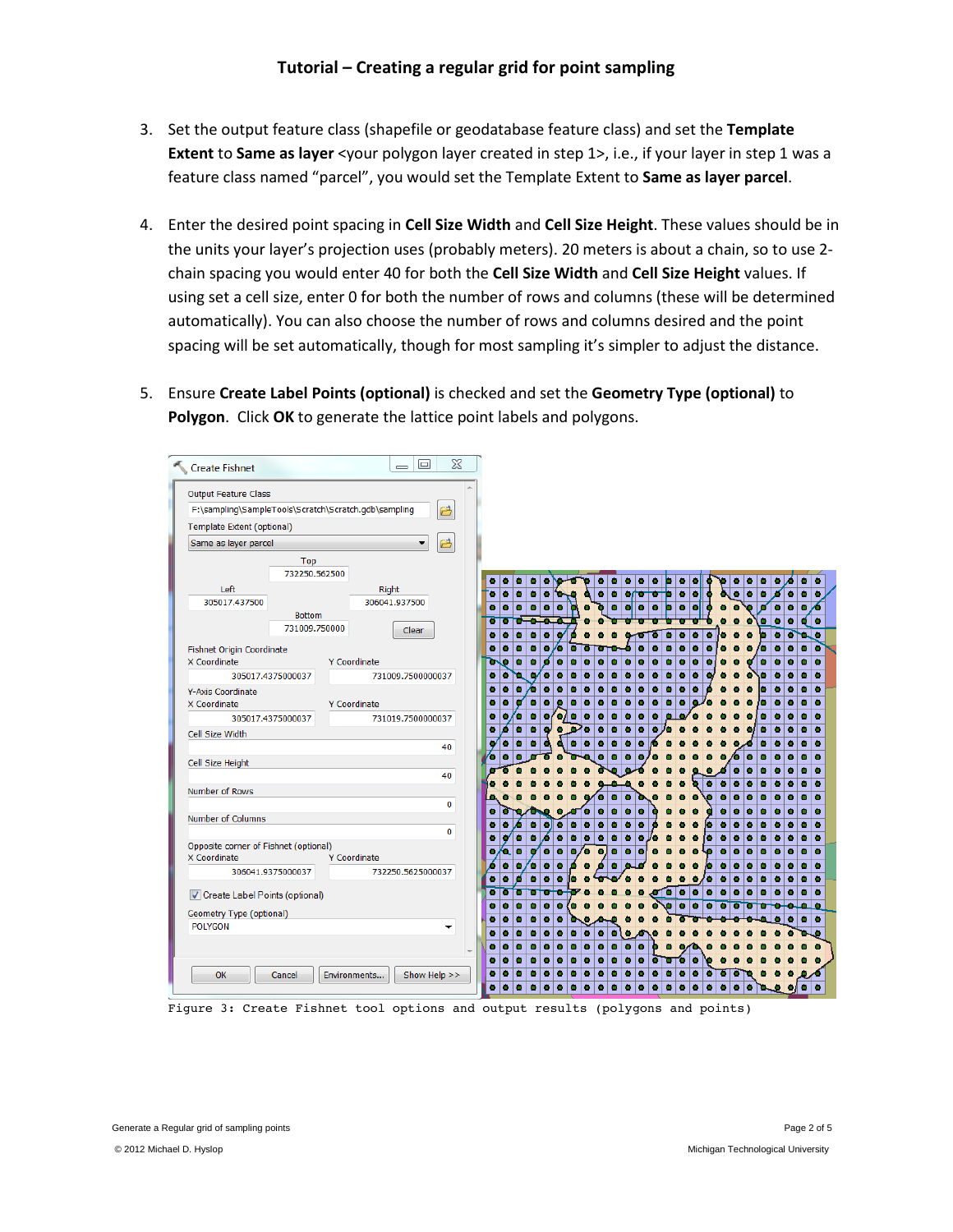- 3. Set the output feature class (shapefile or geodatabase feature class) and set the **Template Extent** to **Same as layer** <your polygon layer created in step 1>, i.e., if your layer in step 1 was a feature class named "parcel", you would set the Template Extent to **Same as layer parcel**.
- 4. Enter the desired point spacing in **Cell Size Width** and **Cell Size Height**. These values should be in the units your layer's projection uses (probably meters). 20 meters is about a chain, so to use 2 chain spacing you would enter 40 for both the **Cell Size Width** and **Cell Size Height** values. If using set a cell size, enter 0 for both the number of rows and columns (these will be determined automatically). You can also choose the number of rows and columns desired and the point spacing will be set automatically, though for most sampling it's simpler to adjust the distance.
- 5. Ensure **Create Label Points (optional)** is checked and set the **Geometry Type (optional)** to **Polygon**. Click **OK** to generate the lattice point labels and polygons.

| Create Fishnet                                       |                   | $\Sigma$<br>$\boxed{\square}$<br>$\qquad \qquad \qquad \qquad$ |   |             |           |              |               |        |        |        |        |   |        |    |                  |        |        |
|------------------------------------------------------|-------------------|----------------------------------------------------------------|---|-------------|-----------|--------------|---------------|--------|--------|--------|--------|---|--------|----|------------------|--------|--------|
| <b>Output Feature Class</b>                          |                   |                                                                | ۸ |             |           |              |               |        |        |        |        |   |        |    |                  |        |        |
| F:\sampling\SampleTools\Scratch\Scratch.gdb\sampling |                   | 户                                                              |   |             |           |              |               |        |        |        |        |   |        |    |                  |        |        |
| <b>Template Extent (optional)</b>                    |                   |                                                                |   |             |           |              |               |        |        |        |        |   |        |    |                  |        |        |
|                                                      |                   | B                                                              |   |             |           |              |               |        |        |        |        |   |        |    |                  |        |        |
| Same as layer parcel                                 |                   | ▼                                                              |   |             |           |              |               |        |        |        |        |   |        |    |                  |        |        |
|                                                      | Top               |                                                                |   |             |           |              |               |        |        |        |        |   |        |    |                  |        |        |
|                                                      | 732250.562500     |                                                                |   | ۵<br>۰      | ٠         | ٠            | ٠             |        |        |        |        |   |        | ۰  |                  | ٠      | ٠      |
| Left                                                 |                   | Right                                                          |   | ٠<br>ö      | ٠<br>٠    | ٠            | ٠             | ۰<br>۵ |        | ۵      |        |   | ö      | ۰  | ٠                | ٠      | ٠      |
| 305017.437500                                        |                   | 306041.937500                                                  |   | ٠<br>۵      | ٠<br>۵    | ٠<br>٠       |               | ٠<br>۵ | ٠<br>۵ | ۰      | ۰      |   | ÷      | ٠  | ٠<br>۰           | ٠      |        |
|                                                      | <b>Bottom</b>     |                                                                |   | ш           |           | n            |               |        |        |        |        |   |        | ۰  | ٠<br>۰           | a      | ٠      |
|                                                      | 731009.750000     | Clear                                                          |   | ۵<br>۰      | ۵<br>۰    | ٠<br>۵       |               |        |        |        |        |   |        |    | c<br>٠           | ۰.     | L٥     |
| <b>Fishnet Origin Coordinate</b>                     |                   |                                                                |   | ۵<br>٠      | ٠<br>٠    | ٠<br>Æ<br>n  | т             |        |        |        | o      |   |        | r. | ٠<br>۵           | ٠      | о      |
| X Coordinate                                         |                   | Y Coordinate                                                   |   | ö<br>ъ      | ٠<br>٠    | ۰<br>۵<br>е  | ۵             | ۰<br>n | ٠<br>۰ | ۰<br>٠ | ۰<br>۰ | ۵ |        | ۰  | ٠<br>٠           | ٠      | ۰      |
|                                                      | 305017.4375000037 | 731009.7500000037                                              |   | ٠<br>٠      | u.<br>٠   | ٠<br>٠<br>٠  | ٠             |        | ۵      | ۰      | ۰      |   |        | ۵  | ۰<br>۵           | ٠      | ۵      |
| Y-Axis Coordinate                                    |                   |                                                                |   | ٠<br>۵      | ٠<br>Æ    | ۵<br>٠<br>٠  | ۰             |        |        |        | ٥      |   |        | ö  | ۵<br>٠           | ٠      | ٠      |
| X Coordinate                                         |                   | Y Coordinate                                                   |   | ٠<br>٠      | ٠<br>٥    | ٠<br>۰<br>٠  | ۵<br>۰        | ٠<br>٥ | ٠<br>۰ | ۰<br>٥ |        |   |        | n  | ٠<br>٠           | ٠      | ۰      |
|                                                      | 305017.4375000037 | 731019.7500000037                                              |   | ٠<br>٠      | o<br>٠    | b.<br>٠<br>n | l o<br>٠      | ٠<br>٠ | ٠<br>٠ | ۰      |        |   |        | ٠  | ٠<br>٠           | ٠      | ٠      |
| Cell Size Width                                      |                   |                                                                |   | ۵           | ٠<br>۵    | ٠<br>٠       | ٠<br>м<br>n   | ٠<br>٠ | ٠<br>۰ | ю      |        |   |        | ۵  | ٠<br>۵           | ۵      | ٠      |
|                                                      |                   | 40                                                             |   | ٠           | ٠<br>۵    | ۵<br>٠       | ٠<br>٠        | ٠<br>۰ | ۵      |        |        |   |        |    | ۰                | ٠      | ٠      |
| Cell Size Height                                     |                   |                                                                |   | ٠<br>ь      |           |              |               | ٠      | ٠      |        |        |   | 6<br>۰ | ۵  | ۵<br>٠           | ٠      | ٠      |
|                                                      |                   | 40                                                             |   |             |           |              |               |        |        |        | ٠      |   | ۰<br>٠ | ٠  | ٠<br>٠           | ٠      | ٠      |
| Number of Rows                                       |                   |                                                                |   |             |           |              |               |        |        |        | ۰      | ۰ | ۰<br>۵ | ۵  | ۵<br>۰           | ٠      | ٠      |
|                                                      |                   | $\bf{0}$                                                       |   |             |           |              |               |        |        |        |        |   |        |    | ٥                | ۰      | ۵      |
| Number of Columns                                    |                   |                                                                |   | ۵<br>۰<br>٠ | ٠         | ٠<br>٠<br>۰  | ٠<br>٠        | ۵<br>٠ | ۵      |        | n      | ۰ | ۰<br>۰ | ۰  | п<br>п<br>٠<br>٠ | ٠<br>٠ | ٠<br>٠ |
|                                                      |                   | $\bf{0}$                                                       |   | o<br>۵      | ۰<br>٠    | ٠<br>٠<br>Δ  | ٠<br>٠        | ۰<br>٠ | ٠      |        | ۵      | ۰ | ۰<br>۵ | ۰  | ٠<br>٠           | ۰      | ٠      |
| Opposite corner of Fishnet (optional)                |                   |                                                                |   | ۹.<br>٥     | ٠<br>٠    | ٠<br>٠<br>٠  | 6<br><b>O</b> | ٠<br>۰ | r      |        |        |   |        | ۵  | ۰<br>۰           | ٠      | ٠      |
| X Coordinate                                         |                   | Y Coordinate                                                   |   | ٠           | ۵<br>о    | ۵<br>۵       |               |        |        |        |        |   |        | п  | ۰<br>۵           | ٠      | ٠      |
|                                                      | 306041.9375000037 | 732250.5625000037                                              |   | ò<br>٠      | ٠<br>а    | ٠<br>٠       |               |        |        |        | ۰      | ۰ | ۰<br>۰ | ٠  | ۰<br>٠           | ٠      | ٠      |
| Create Label Points (optional)                       |                   |                                                                |   | cī<br>п     | rт<br>r i |              |               |        |        | ъ<br>۰ | ۰<br>۰ | ۰ | ۰<br>۰ | ۰  | ٠<br>٠           | ٠      | ٠      |
|                                                      |                   |                                                                |   | ۵<br>۵      | ۵         | ۵<br>۵       |               |        |        |        | ۰<br>۰ | ۰ |        |    |                  |        |        |
| Geometry Type (optional)                             |                   |                                                                |   | ۵<br>л      | ۵<br>۰    | ۰<br>۰       |               |        |        |        |        |   |        |    | ٥                | ۰      | ٠      |
| <b>POLYGON</b>                                       |                   | $\overline{\phantom{a}}$                                       |   | ٠<br>۵      | ۵<br>٠    | ٥<br>٠<br>٠  | ٠<br>٠        | ٠<br>٠ |        |        |        |   |        |    |                  |        |        |
|                                                      |                   |                                                                |   | ٠<br>۵      | ٠<br>٠    | ٠<br>٠<br>٠  | ٠<br>٠        | ٠<br>٠ | ٠      |        |        |   |        |    |                  |        |        |
|                                                      |                   |                                                                |   | ۵<br>۵      | ۵<br>۰    | ۵<br>۰<br>۰  | ۰<br>٥        | ۰      | ٠<br>σ | ъ      | ٥      |   |        |    |                  |        |        |
| OK                                                   | Cancel            | Show Help >><br>Environments                                   |   | ۵<br>۵      | n<br>۵    | ٥<br>۵<br>n  | m             |        |        |        | ٥<br>۰ | o |        |    |                  |        |        |
|                                                      |                   |                                                                |   | ٠<br>٠      | ۵<br>۵    | ٠<br>۵<br>۰  | ۵<br>۵        | ۵<br>m |        |        | ٥<br>۵ | ٠ | ٠<br>o | ъ. | ю                | ٠      | ٠      |

Figure 3: Create Fishnet tool options and output results (polygons and points)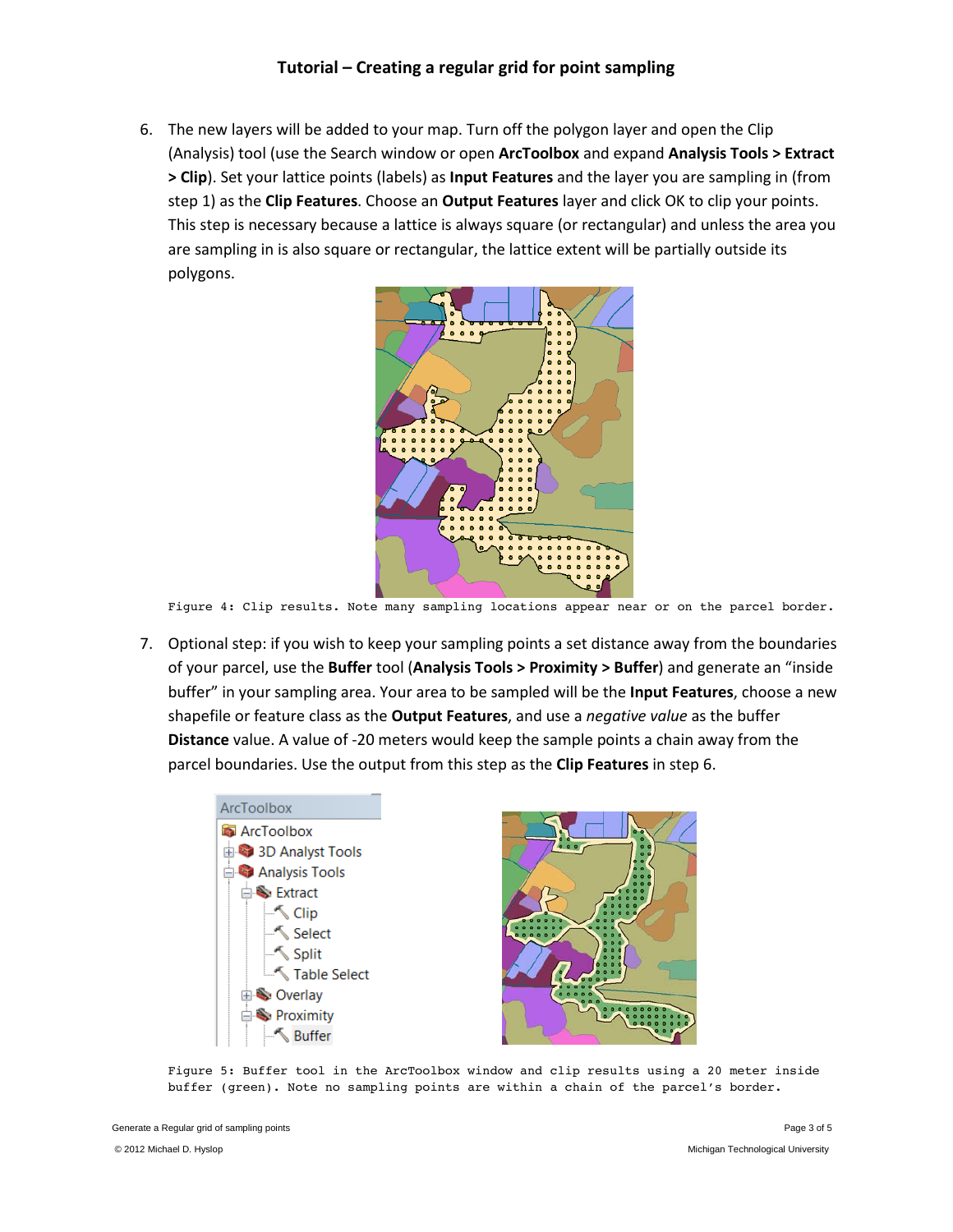6. The new layers will be added to your map. Turn off the polygon layer and open the Clip (Analysis) tool (use the Search window or open **ArcToolbox** and expand **Analysis Tools > Extract > Clip**). Set your lattice points (labels) as **Input Features** and the layer you are sampling in (from step 1) as the **Clip Features**. Choose an **Output Features** layer and click OK to clip your points. This step is necessary because a lattice is always square (or rectangular) and unless the area you are sampling in is also square or rectangular, the lattice extent will be partially outside its polygons.



Figure 4: Clip results. Note many sampling locations appear near or on the parcel border.

7. Optional step: if you wish to keep your sampling points a set distance away from the boundaries of your parcel, use the **Buffer** tool (**Analysis Tools > Proximity > Buffer**) and generate an "inside buffer" in your sampling area. Your area to be sampled will be the **Input Features**, choose a new shapefile or feature class as the **Output Features**, and use a *negative value* as the buffer **Distance** value. A value of -20 meters would keep the sample points a chain away from the parcel boundaries. Use the output from this step as the **Clip Features** in step 6.



Figure 5: Buffer tool in the ArcToolbox window and clip results using a 20 meter inside buffer (green). Note no sampling points are within a chain of the parcel's border.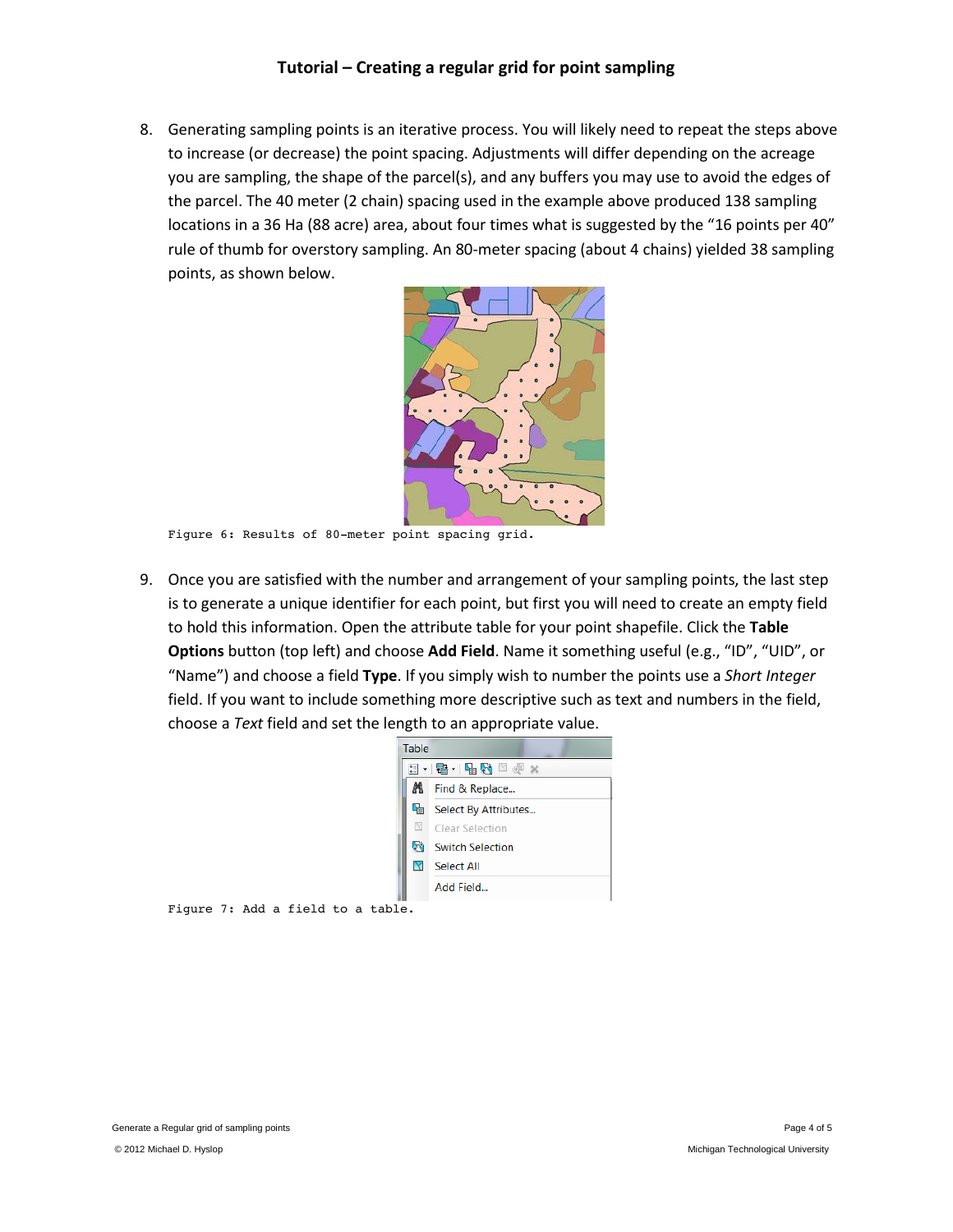## **Tutorial – Creating a regular grid for point sampling**

8. Generating sampling points is an iterative process. You will likely need to repeat the steps above to increase (or decrease) the point spacing. Adjustments will differ depending on the acreage you are sampling, the shape of the parcel(s), and any buffers you may use to avoid the edges of the parcel. The 40 meter (2 chain) spacing used in the example above produced 138 sampling locations in a 36 Ha (88 acre) area, about four times what is suggested by the "16 points per 40" rule of thumb for overstory sampling. An 80-meter spacing (about 4 chains) yielded 38 sampling points, as shown below.



Figure 6: Results of 80-meter point spacing grid.

9. Once you are satisfied with the number and arrangement of your sampling points, the last step is to generate a unique identifier for each point, but first you will need to create an empty field to hold this information. Open the attribute table for your point shapefile. Click the **Table Options** button (top left) and choose **Add Field**. Name it something useful (e.g., "ID", "UID", or "Name") and choose a field **Type**. If you simply wish to number the points use a *Short Integer* field. If you want to include something more descriptive such as text and numbers in the field, choose a *Text* field and set the length to an appropriate value.



Figure 7: Add a field to a table.